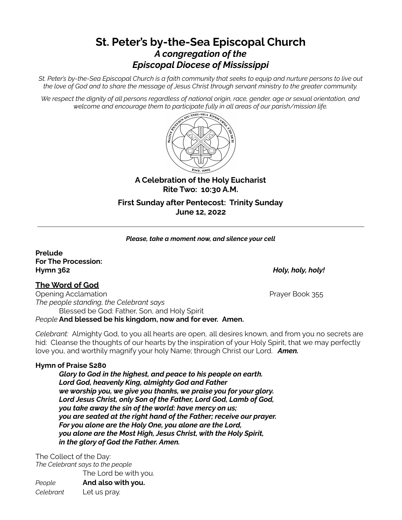# **St. Peter's by-the-Sea Episcopal Church** *A congregation of the Episcopal Diocese of Mississippi*

St. Peter's by-the-Sea Episcopal Church is a faith community that seeks to equip and nurture persons to live out the love of God and to share the message of Jesus Christ through servant ministry to the greater community.

We respect the dignity of all persons regardless of national origin, race, gender, age or sexual orientation, and *welcome and encourage them to participate fully in all areas of our parish/mission life.*



**A Celebration of the Holy Eucharist Rite Two: 10:30 A.M.**

**First Sunday after Pentecost: Trinity Sunday June 12, 2022**

#### *Please, take a moment now, and silence your cell*

**Prelude For The Procession: Hymn 362** *Holy, holy, holy!*

### **The Word of God**

Opening Acclamation **Prayer Book 355** *The people standing, the Celebrant says* Blessed be God: Father, Son, and Holy Spirit *People* **And blessed be his kingdom, now and for ever. Amen.**

*Celebrant:* Almighty God, to you all hearts are open, all desires known, and from you no secrets are hid: Cleanse the thoughts of our hearts by the inspiration of your Holy Spirit, that we may perfectly love you, and worthily magnify your holy Name; through Christ our Lord. *Amen.*

#### **Hymn of Praise S280**

*Glory to God in the highest, and peace to his people on earth. Lord God, heavenly King, almighty God and Father we worship you, we give you thanks, we praise you for your glory. Lord Jesus Christ, only Son of the Father, Lord God, Lamb of God, you take away the sin of the world: have mercy on us; you are seated at the right hand of the Father; receive our prayer. For you alone are the Holy One, you alone are the Lord, you alone are the Most High, Jesus Christ, with the Holy Spirit, in the glory of God the Father. Amen.*

The Collect of the Day: *The Celebrant says to the people*

The Lord be with you. *People* **And also with you.** *Celebrant* Let us pray.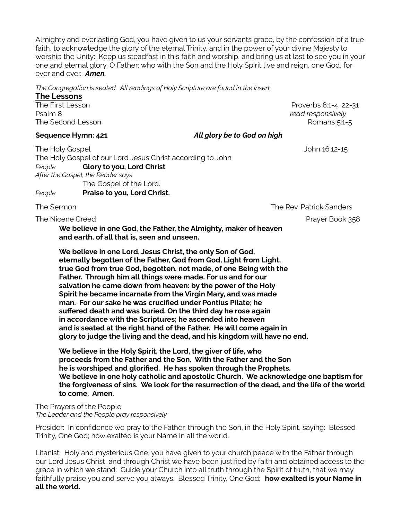Almighty and everlasting God, you have given to us your servants grace, by the confession of a true faith, to acknowledge the glory of the eternal Trinity, and in the power of your divine Majesty to worship the Unity: Keep us steadfast in this faith and worship, and bring us at last to see you in your one and eternal glory, O Father; who with the Son and the Holy Spirit live and reign, one God, for ever and ever. *Amen.*

*The Congregation is seated. All readings of Holy Scripture are found in the insert.*

**The Lessons**

The First Lesson **Proverbs 8:1-4, 22-31** Psalm 8 *read responsively* The Second Lesson Romans 5:1-5

# **Sequence Hymn: 421** *All glory be to God on high*

The Holy Gospel John 16:12-15 The Holy Gospel of our Lord Jesus Christ according to John *People* **Glory to you, Lord Christ** *After the Gospel, the Reader says* The Gospel of the Lord. *People* **Praise to you, Lord Christ.**

The Sermon The Rev. Patrick Sanders

The Nicene Creed **Prayer Book 358** 

**We believe in one God, the Father, the Almighty, maker of heaven and earth, of all that is, seen and unseen.**

**We believe in one Lord, Jesus Christ, the only Son of God, eternally begotten of the Father, God from God, Light from Light, true God from true God, begotten, not made, of one Being with the Father. Through him all things were made. For us and for our salvation he came down from heaven: by the power of the Holy Spirit he became incarnate from the Virgin Mary, and was made man. For our sake he was crucified under Pontius Pilate; he suffered death and was buried. On the third day he rose again in accordance with the Scriptures; he ascended into heaven and is seated at the right hand of the Father. He will come again in glory to judge the living and the dead, and his kingdom will have no end.**

**We believe in the Holy Spirit, the Lord, the giver of life, who proceeds from the Father and the Son. With the Father and the Son he is worshiped and glorified. He has spoken through the Prophets. We believe in one holy catholic and apostolic Church. We acknowledge one baptism for the forgiveness of sins. We look for the resurrection of the dead, and the life of the world to come. Amen.**

The Prayers of the People *The Leader and the People pray responsively*

Presider: In confidence we pray to the Father, through the Son, in the Holy Spirit, saying: Blessed Trinity, One God; how exalted is your Name in all the world.

Litanist: Holy and mysterious One, you have given to your church peace with the Father through our Lord Jesus Christ, and through Christ we have been justified by faith and obtained access to the grace in which we stand: Guide your Church into all truth through the Spirit of truth, that we may faithfully praise you and serve you always. Blessed Trinity, One God; **how exalted is your Name in all the world.**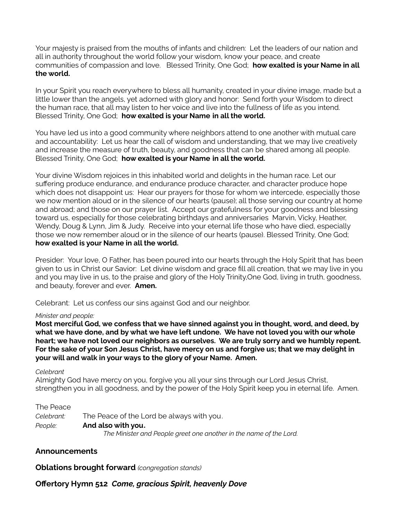Your majesty is praised from the mouths of infants and children: Let the leaders of our nation and all in authority throughout the world follow your wisdom, know your peace, and create communities of compassion and love. Blessed Trinity, One God; **how exalted is your Name in all the world.**

In your Spirit you reach everywhere to bless all humanity, created in your divine image, made but a little lower than the angels, yet adorned with glory and honor: Send forth your Wisdom to direct the human race, that all may listen to her voice and live into the fullness of life as you intend. Blessed Trinity, One God; **how exalted is your Name in all the world.**

You have led us into a good community where neighbors attend to one another with mutual care and accountability: Let us hear the call of wisdom and understanding, that we may live creatively and increase the measure of truth, beauty, and goodness that can be shared among all people. Blessed Trinity, One God; **how exalted is your Name in all the world.**

Your divine Wisdom rejoices in this inhabited world and delights in the human race. Let our suffering produce endurance, and endurance produce character, and character produce hope which does not disappoint us: Hear our prayers for those for whom we intercede, especially those we now mention aloud or in the silence of our hearts (pause); all those serving our country at home and abroad; and those on our prayer list. Accept our gratefulness for your goodness and blessing toward us, especially for those celebrating birthdays and anniversaries Marvin, Vicky, Heather, Wendy, Doug & Lynn, Jim & Judy. Receive into your eternal life those who have died, especially those we now remember aloud or in the silence of our hearts (pause). Blessed Trinity, One God; **how exalted is your Name in all the world.**

Presider: Your love, O Father, has been poured into our hearts through the Holy Spirit that has been given to us in Christ our Savior: Let divine wisdom and grace fill all creation, that we may live in you and you may live in us, to the praise and glory of the Holy Trinity,One God, living in truth, goodness, and beauty, forever and ever. **Amen.**

Celebrant: Let us confess our sins against God and our neighbor.

### *Minister and people:*

**Most merciful God, we confess that we have sinned against you in thought, word, and deed, by what we have done, and by what we have left undone. We have not loved you with our whole heart; we have not loved our neighbors as ourselves. We are truly sorry and we humbly repent.** For the sake of your Son Jesus Christ, have mercy on us and forgive us; that we may delight in **your will and walk in your ways to the glory of your Name. Amen.**

#### *Celebrant*

Almighty God have mercy on you, forgive you all your sins through our Lord Jesus Christ, strengthen you in all goodness, and by the power of the Holy Spirit keep you in eternal life. Amen.

#### The Peace

| Celebrant: | The Peace of the Lord be always with you.                          |  |
|------------|--------------------------------------------------------------------|--|
| People:    | And also with you.                                                 |  |
|            | The Minister and People greet one another in the name of the Lord. |  |

# **Announcements**

**Oblations brought forward** *(congregation stands)*

# **Offertory Hymn 512** *Come, gracious Spirit, heavenly Dove*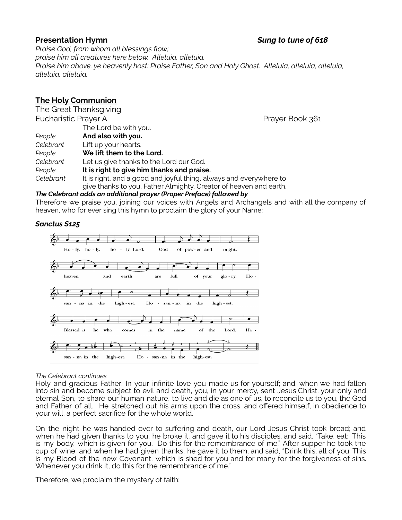# **Presentation Hymn** *Sung to tune of 618*

*Praise God, from whom all blessings flow; praise him all creatures here below. Alleluia, alleluia. Praise him above, ye heavenly host: Praise Father, Son and Holy Ghost. Alleluia, alleluia, alleluia, alleluia, alleluia.*

# **The Holy Communion**

| The Great Thanksgiving |                                                                                                                                         |                 |
|------------------------|-----------------------------------------------------------------------------------------------------------------------------------------|-----------------|
| Eucharistic Prayer A   |                                                                                                                                         | Prayer Book 361 |
|                        | The Lord be with you.                                                                                                                   |                 |
| People                 | And also with you.                                                                                                                      |                 |
| Celebrant              | Lift up your hearts.                                                                                                                    |                 |
| People                 | We lift them to the Lord.                                                                                                               |                 |
| Celebrant              | Let us give thanks to the Lord our God.                                                                                                 |                 |
| People                 | It is right to give him thanks and praise.                                                                                              |                 |
| Celebrant              | It is right, and a good and joyful thing, always and everywhere to<br>give thanks to you, Father Almighty, Creator of heaven and earth. |                 |

### *The Celebrant adds an additional prayer (Proper Preface) followed by*

Therefore we praise you, joining our voices with Angels and Archangels and with all the company of heaven, who for ever sing this hymn to proclaim the glory of your Name:

### *Sanctus S125*



#### *The Celebrant continues*

Holy and gracious Father: In your infinite love you made us for yourself; and, when we had fallen into sin and become subject to evil and death, you, in your mercy, sent Jesus Christ, your only and eternal Son, to share our human nature, to live and die as one of us, to reconcile us to you, the God and Father of all. He stretched out his arms upon the cross, and offered himself, in obedience to your will, a perfect sacrifice for the whole world.

On the night he was handed over to suffering and death, our Lord Jesus Christ took bread; and when he had given thanks to you, he broke it, and gave it to his disciples, and said, "Take, eat: This is my body, which is given for you. Do this for the remembrance of me." After supper he took the cup of wine; and when he had given thanks, he gave it to them, and said, "Drink this, all of you: This is my Blood of the new Covenant, which is shed for you and for many for the forgiveness of sins. Whenever you drink it, do this for the remembrance of me."

Therefore, we proclaim the mystery of faith: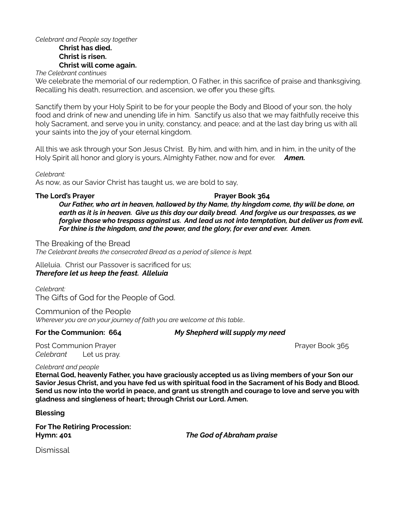### *Celebrant and People say together*

#### **Christ has died. Christ is risen. Christ will come again.**

*The Celebrant continues*

We celebrate the memorial of our redemption, O Father, in this sacrifice of praise and thanksgiving. Recalling his death, resurrection, and ascension, we offer you these gifts.

Sanctify them by your Holy Spirit to be for your people the Body and Blood of your son, the holy food and drink of new and unending life in him. Sanctify us also that we may faithfully receive this holy Sacrament, and serve you in unity, constancy, and peace; and at the last day bring us with all your saints into the joy of your eternal kingdom.

All this we ask through your Son Jesus Christ. By him, and with him, and in him, in the unity of the Holy Spirit all honor and glory is yours, Almighty Father, now and for ever. *Amen.*

*Celebrant:*

As now, as our Savior Christ has taught us, we are bold to say,

#### **The Lord's Prayer Prayer Book 364**

*Our Father, who art in heaven, hallowed by thy Name, thy kingdom come, thy will be done, on* earth as it is in heaven. Give us this day our daily bread. And forgive us our trespasses, as we *forgive those who trespass against us. And lead us not into temptation, but deliver us from evil. For thine is the kingdom, and the power, and the glory, for ever and ever. Amen.*

The Breaking of the Bread *The Celebrant breaks the consecrated Bread as a period of silence is kept.*

Alleluia. Christ our Passover is sacrificed for us; *Therefore let us keep the feast. Alleluia*

*Celebrant:* The Gifts of God for the People of God.

Communion of the People *Wherever you are on your journey of faith you are welcome at this table..*

**For the Communion: 664** *My Shepherd will supply my need*

Post Communion Prayer Prayer Book 365 *Celebrant* Let us pray.

*Celebrant and people*

**Eternal God, heavenly Father, you have graciously accepted us as living members of your Son our** Savior Jesus Christ, and you have fed us with spiritual food in the Sacrament of his Body and Blood. Send us now into the world in peace, and grant us strength and courage to love and serve you with **gladness and singleness of heart; through Christ our Lord. Amen.**

**Blessing**

**For The Retiring Procession: Hymn: 401** *The God of Abraham praise*

Dismissal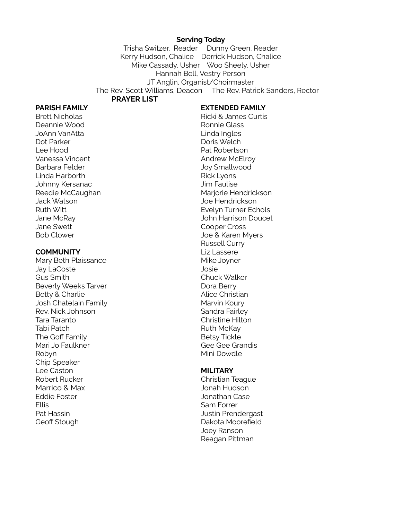### **Serving Today**

Trisha Switzer, Reader Dunny Green, Reader Kerry Hudson, Chalice Derrick Hudson, Chalice Mike Cassady, Usher Woo Sheely, Usher Hannah Bell, Vestry Person JT Anglin, Organist/Choirmaster The Rev. Scott Williams, Deacon The Rev. Patrick Sanders, Rector

**PRAYER LIST**

Deannie Wood Ronnie Glass JoAnn VanAtta Linda Ingles Dot Parker **Doming Community** Doming Welch Lee Hood **Pat Robertson** Vanessa Vincent **Andrew McElroy** Barbara Felder **Galactic Contract Contract Contract Contract Contract Contract Contract Contract Contract Contract Contract Contract Contract Contract Contract Contract Contract Contract Contract Contract Contract Contract** Linda Harborth **Rick Lyons** Johnny Kersanac **Johnny Kersanac** Jim Faulise Jack Watson Joe Hendrickson Jane Swett **Cooper Cross** Bob Clower **Good Clower Joe & Karen Myers** 

#### **COMMUNITY** Liz Lassere

Mary Beth Plaissance Mike Joyner Jay LaCoste Josie Gus Smith Chuck Walker Beverly Weeks Tarver **Dora Berry** Beverly Weeks Tarver Betty & Charlie Alice Christian Josh Chatelain Family Marvin Koury Rev. Nick Johnson Sandra Fairley Tara Taranto Christine Hilton Tabi Patch **Ruth McKay** The Goff Family **Betsy Tickle** Mari Jo Faulkner Geerald Changes Gee Grandis Robyn Mini Dowdle Chip Speaker Lee Caston **MILITARY** Marrico & Max Jonah Hudson Eddie Foster and The Tomas and Tomas Jonathan Case Ellis **Ellis** Sam Forrer Pat Hassin **Pat Hassin** Prendergast Geoff Stough **Dakota Moorefield** 

Brett Nicholas Ricki & James Curtis Reedie McCaughan Marjorie Hendrickson Ruth Witt **Evelyn Turner Echols** Jane McRay John Harrison Doucet Russell Curry

**Christian Teague** Joey Ranson Reagan Pittman

# **PARISH FAMILY EXTENDED FAMILY**